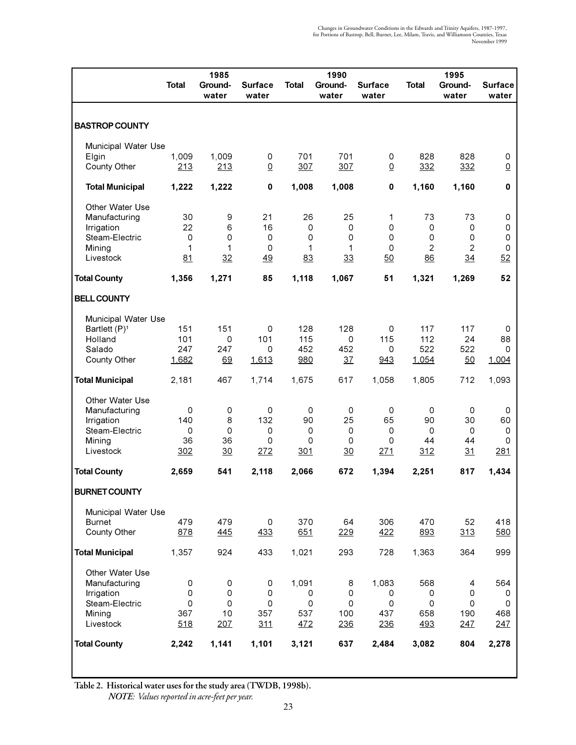|                              |                          | 1985             |                         |                          | 1990              |                         |                   | 1995             |                         |
|------------------------------|--------------------------|------------------|-------------------------|--------------------------|-------------------|-------------------------|-------------------|------------------|-------------------------|
|                              | <b>Total</b>             | Ground-<br>water | <b>Surface</b><br>water | Total                    | Ground-<br>water  | <b>Surface</b><br>water | Total             | Ground-<br>water | <b>Surface</b><br>water |
| <b>BASTROP COUNTY</b>        |                          |                  |                         |                          |                   |                         |                   |                  |                         |
| Municipal Water Use          |                          |                  |                         |                          |                   |                         |                   |                  |                         |
| Elgin<br>County Other        | 1,009<br>213             | 1,009<br>213     | 0<br>$\underline{0}$    | 701<br>307               | 701<br>307        | 0<br>$\overline{0}$     | 828<br>332        | 828<br>332       | 0<br>$\underline{0}$    |
| <b>Total Municipal</b>       | 1,222                    | 1,222            | $\pmb{0}$               | 1,008                    | 1,008             | 0                       | 1,160             | 1,160            | 0                       |
| Other Water Use              |                          |                  |                         |                          |                   |                         |                   |                  |                         |
| Manufacturing                | 30                       | 9                | 21                      | 26                       | 25                | 1                       | 73                | 73               | 0                       |
| Irrigation<br>Steam-Electric | 22<br>0                  | 6<br>0           | 16<br>0                 | 0<br>0                   | 0<br>0            | 0<br>0                  | $\mathbf 0$<br>0  | 0<br>0           | 0<br>0                  |
| Mining                       | 1                        | 1                | 0                       | 1                        | 1                 | 0                       | 2                 | $\overline{c}$   | $\mathbf 0$             |
| Livestock                    | 81                       | 32               | 49                      | 83                       | 33                | 50                      | 86                | 34               | 52                      |
| <b>Total County</b>          | 1,356                    | 1,271            | 85                      | 1,118                    | 1,067             | 51                      | 1,321             | 1,269            | 52                      |
| <b>BELL COUNTY</b>           |                          |                  |                         |                          |                   |                         |                   |                  |                         |
| Municipal Water Use          |                          |                  |                         |                          |                   |                         |                   |                  |                         |
| Bartlett (P) <sup>1</sup>    | 151                      | 151              | 0                       | 128                      | 128               | 0                       | 117               | 117              | 0                       |
| Holland                      | 101                      | 0                | 101                     | 115                      | 0                 | 115                     | 112               | 24               | 88                      |
| Salado<br>County Other       | 247<br>1,682             | 247<br>69        | 0<br>1,613              | 452<br>980               | 452<br>37         | 0<br>943                | 522<br>1,054      | 522<br>50        | 0<br>1,004              |
| <b>Total Municipal</b>       | 2,181                    | 467              | 1,714                   | 1,675                    | 617               | 1,058                   | 1,805             | 712              | 1,093                   |
| Other Water Use              |                          |                  |                         |                          |                   |                         |                   |                  |                         |
| Manufacturing                | 0                        | 0                | 0                       | 0                        | 0                 | 0                       | 0                 | 0                | 0                       |
| Irrigation<br>Steam-Electric | 140<br>0                 | 8<br>0           | 132<br>0                | 90<br>0                  | 25<br>$\mathbf 0$ | 65<br>0                 | 90<br>$\mathbf 0$ | 30<br>0          | 60<br>$\mathbf 0$       |
| Mining                       | 36                       | 36               | 0                       | 0                        | $\mathbf 0$       | 0                       | 44                | 44               | 0                       |
| Livestock                    | <u>302</u>               | $\overline{30}$  | <u> 272</u>             | <u>301</u>               | $\overline{30}$   | <u> 271</u>             | <u>312</u>        | <u>31</u>        | <u> 281</u>             |
| <b>Total County</b>          | 2,659                    | 541              | 2,118                   | 2,066                    | 672               | 1,394                   | 2,251             | 817              | 1,434                   |
| <b>BURNET COUNTY</b>         |                          |                  |                         |                          |                   |                         |                   |                  |                         |
| Municipal Water Use          |                          |                  |                         |                          |                   |                         |                   |                  |                         |
| <b>Burnet</b>                | 479                      | 479              | $\mathsf{O}\xspace$     | 370                      | 64                | 306                     | 470               | 52               | 418                     |
| County Other                 | 878                      | 445              | 433                     | 651                      | 229               | 422                     | 893               | 313              | 580                     |
| <b>Total Municipal</b>       | 1,357                    | 924              | 433                     | 1,021                    | 293               | 728                     | 1,363             | 364              | 999                     |
| Other Water Use              |                          |                  |                         |                          |                   |                         |                   |                  |                         |
| Manufacturing                | $\mathsf{O}\xspace$<br>0 | 0                | 0<br>0                  | 1,091                    | 8<br>0            | 1,083                   | 568               | 4<br>0           | 564                     |
| Irrigation<br>Steam-Electric | $\mathsf 0$              | 0<br>0           | 0                       | 0<br>$\mathsf{O}\xspace$ | 0                 | 0<br>0                  | 0<br>0            | 0                | 0<br>0                  |
| Mining                       | 367                      | 10               | 357                     | 537                      | 100               | 437                     | 658               | 190              | 468                     |
| Livestock                    | 518                      | 207              | 311                     | 472                      | 236               | 236                     | 493               | 247              | 247                     |
| <b>Total County</b>          | 2,242                    | 1,141            | 1,101                   | 3,121                    | 637               | 2,484                   | 3,082             | 804              | 2,278                   |
|                              |                          |                  |                         |                          |                   |                         |                   |                  |                         |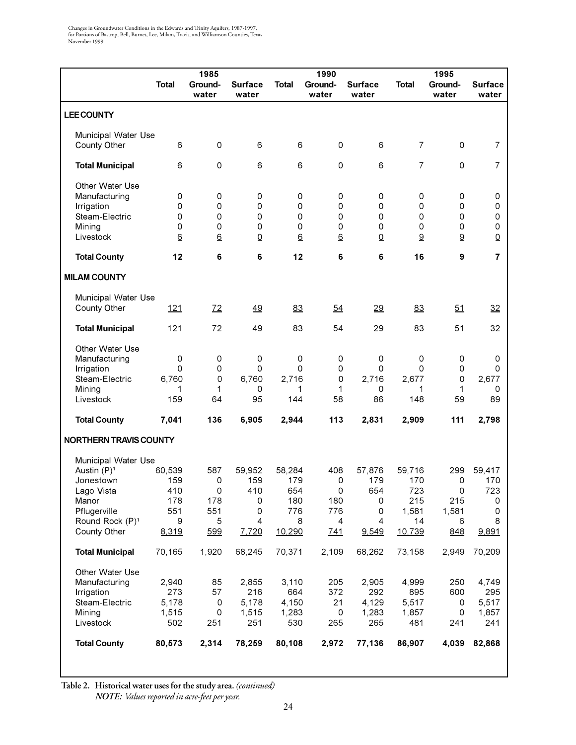|                             |                 | 1985             |                         |              | 1990             |                         |                 | 1995             |                         |
|-----------------------------|-----------------|------------------|-------------------------|--------------|------------------|-------------------------|-----------------|------------------|-------------------------|
|                             | <b>Total</b>    | Ground-<br>water | <b>Surface</b><br>water | <b>Total</b> | Ground-<br>water | <b>Surface</b><br>water | <b>Total</b>    | Ground-<br>water | <b>Surface</b><br>water |
| <b>LEE COUNTY</b>           |                 |                  |                         |              |                  |                         |                 |                  |                         |
|                             |                 |                  |                         |              |                  |                         |                 |                  |                         |
| Municipal Water Use         |                 |                  |                         |              |                  |                         |                 |                  |                         |
| County Other                | 6               | $\mathsf 0$      | 6                       | 6            | 0                | 6                       | $\overline{7}$  | 0                | $\overline{7}$          |
|                             |                 |                  |                         |              |                  |                         |                 |                  |                         |
| <b>Total Municipal</b>      | 6               | $\mathsf 0$      | 6                       | 6            | $\Omega$         | 6                       | $\overline{7}$  | 0                | $\overline{7}$          |
|                             |                 |                  |                         |              |                  |                         |                 |                  |                         |
| Other Water Use             |                 |                  | 0                       |              |                  | 0                       |                 |                  |                         |
| Manufacturing<br>Irrigation | 0<br>0          | 0<br>0           | 0                       | 0<br>0       | 0<br>0           | $\Omega$                | 0<br>0          | 0<br>0           | 0<br>0                  |
| Steam-Electric              | 0               | 0                | 0                       | $\mathbf 0$  | 0                | $\Omega$                | $\mathsf 0$     | $\Omega$         | 0                       |
| Mining                      | 0               | 0                | 0                       | $\Omega$     | 0                | $\Omega$                | $\Omega$        | 0                | $\mathsf{O}\xspace$     |
| Livestock                   | $\underline{6}$ | $\underline{6}$  | $\underline{0}$         | 6            | $\underline{6}$  | $\underline{0}$         | $\underline{9}$ | $\underline{9}$  | $\underline{0}$         |
|                             |                 |                  |                         |              | 6                |                         | 16              | 9                | $\overline{7}$          |
| <b>Total County</b>         | 12              | 6                | 6                       | 12           |                  | 6                       |                 |                  |                         |
| <b>MILAM COUNTY</b>         |                 |                  |                         |              |                  |                         |                 |                  |                         |
| Municipal Water Use         |                 |                  |                         |              |                  |                         |                 |                  |                         |
| County Other                | 121             | 72               | 49                      | 83           | 54               | 29                      | 83              | 51               | 32                      |
|                             |                 |                  |                         |              |                  |                         |                 |                  |                         |
| <b>Total Municipal</b>      | 121             | 72               | 49                      | 83           | 54               | 29                      | 83              | 51               | 32                      |
| Other Water Use             |                 |                  |                         |              |                  |                         |                 |                  |                         |
| Manufacturing               | 0               | 0                | 0                       | $\mathbf 0$  | 0                | 0                       | 0               | 0                | 0                       |
| Irrigation                  | 0               | 0                | 0                       | 0            | 0                | 0                       | 0               | 0                | 0                       |
| Steam-Electric              | 6,760           | 0                | 6,760                   | 2,716        | 0                | 2,716                   | 2,677           | 0                | 2,677                   |
| Mining                      | 1               | 1                | 0                       | 1            | 1                | 0                       | 1               | 1                | 0                       |
| Livestock                   | 159             | 64               | 95                      | 144          | 58               | 86                      | 148             | 59               | 89                      |
| <b>Total County</b>         | 7,041           | 136              | 6,905                   | 2,944        | 113              | 2,831                   | 2,909           | 111              | 2,798                   |
| NORTHERN TRAVIS COUNTY      |                 |                  |                         |              |                  |                         |                 |                  |                         |
| Municipal Water Use         |                 |                  |                         |              |                  |                         |                 |                  |                         |
| Austin (P) <sup>1</sup>     | 60,539          | 587              | 59,952                  | 58,284       | 408              | 57,876                  | 59,716          | 299              | 59,417                  |
| Jonestown                   | 159             | 0                | 159                     | 179          | 0                | 179                     | 170             | 0                | 170                     |
| Lago Vista                  | 410             | 0                | 410                     | 654          | 0                | 654                     | 723             | 0                | 723                     |
| Manor                       | 178             | 178              | 0                       | 180          | 180              | 0                       | 215             | 215              | 0                       |
| Pflugerville                | 551             | 551              | 0                       | 776          | 776              | 0                       | 1,581           | 1,581            | 0                       |
| Round Rock (P) <sup>1</sup> | 9               | 5                | 4                       | 8            | $\overline{4}$   | 4                       | 14              | 6                | 8                       |
| County Other                | 8,319           | 599              | 7,720                   | 10,290       | 741              | 9,549                   | 10,739          | 848              | 9,891                   |
| <b>Total Municipal</b>      | 70,165          | 1,920            | 68,245                  | 70,371       | 2,109            | 68,262                  | 73,158          | 2,949            | 70,209                  |
| Other Water Use             |                 |                  |                         |              |                  |                         |                 |                  |                         |
| Manufacturing               | 2,940           | 85               | 2,855                   | 3,110        | 205              | 2,905                   | 4,999           | 250              | 4,749                   |
| Irrigation                  | 273             | 57               | 216                     | 664          | 372              | 292                     | 895             | 600              | 295                     |
| Steam-Electric              | 5,178           | $\mathsf 0$      | 5,178                   | 4,150        | 21               | 4,129                   | 5,517           | 0                | 5,517                   |
| Mining                      | 1,515           | 0                | 1,515                   | 1,283        | 0                | 1,283                   | 1,857           | 0                | 1,857                   |
| Livestock                   | 502             | 251              | 251                     | 530          | 265              | 265                     | 481             | 241              | 241                     |
| <b>Total County</b>         | 80,573          | 2,314            | 78,259                  | 80,108       | 2,972            | 77,136                  | 86,907          | 4,039            | 82,868                  |
|                             |                 |                  |                         |              |                  |                         |                 |                  |                         |

**Table 2. Historical water uses for the study area.** *(continued) NOTE: Values reported in acre-feet per year.*

 $\overline{\phantom{a}}$